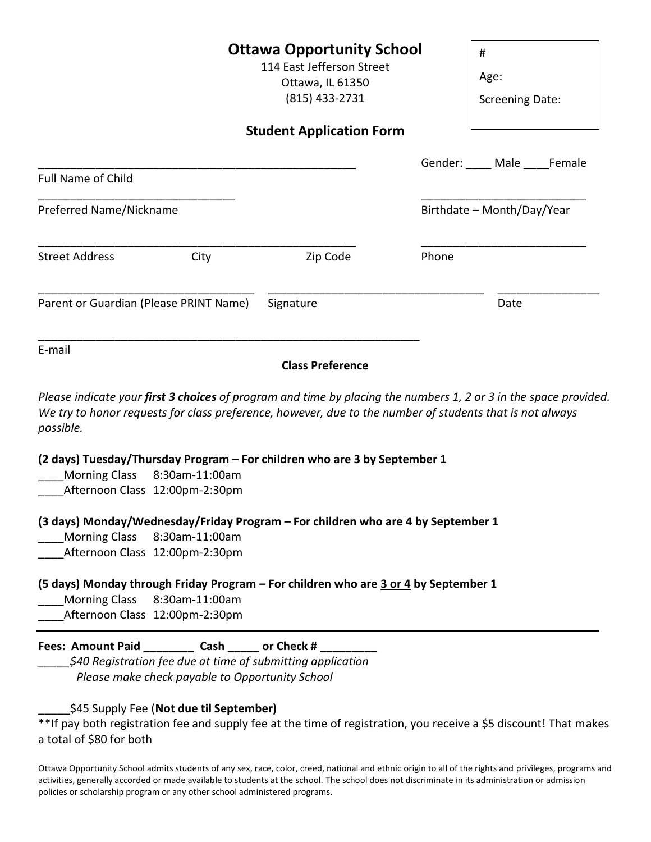**Ottawa Opportunity School** 114 East Jefferson Street Ottawa, IL 61350 (815) 433-2731 **Student Application Form** Gender: \_\_\_\_\_ Male \_\_\_\_ Female Full Name of Child \_\_\_\_\_\_\_\_\_\_\_\_\_\_\_\_\_\_\_\_\_\_\_\_\_\_\_\_\_\_\_ \_\_\_\_\_\_\_\_\_\_\_\_\_\_\_\_\_\_\_\_\_\_\_\_\_\_ Preferred Name/Nickname and a strong preferred Name/Nickname \_\_\_\_\_\_\_\_\_\_\_\_\_\_\_\_\_\_\_\_\_\_\_\_\_\_\_\_\_\_\_\_\_\_\_\_\_\_\_\_\_\_\_\_\_\_\_\_\_\_ \_\_\_\_\_\_\_\_\_\_\_\_\_\_\_\_\_\_\_\_\_\_\_\_\_\_ Street Address City City Zip Code Phone \_\_\_\_\_\_\_\_\_\_\_\_\_\_\_\_\_\_\_\_\_\_\_\_\_\_\_\_\_\_\_\_\_\_ \_\_\_\_\_\_\_\_\_\_\_\_\_\_\_\_\_\_\_\_\_\_\_\_\_\_\_\_\_\_\_\_\_\_ \_\_\_\_\_\_\_\_\_\_\_\_\_\_\_\_ Parent or Guardian (Please PRINT Name) Signature Same Date \_\_\_\_\_\_\_\_\_\_\_\_\_\_\_\_\_\_\_\_\_\_\_\_\_\_\_\_\_\_\_\_\_\_\_\_\_\_\_\_\_\_\_\_\_\_\_\_\_\_\_\_\_\_\_\_\_\_\_\_ E-mail # Age: Screening Date:

**Class Preference**

*Please indicate your first 3 choices of program and time by placing the numbers 1, 2 or 3 in the space provided. We try to honor requests for class preference, however, due to the number of students that is not always possible.* 

**(2 days) Tuesday/Thursday Program – For children who are 3 by September 1**

Morning Class 8:30am-11:00am

Afternoon Class 12:00pm-2:30pm

**(3 days) Monday/Wednesday/Friday Program – For children who are 4 by September 1**

Morning Class 8:30am-11:00am

Afternoon Class 12:00pm-2:30pm

## **(5 days) Monday through Friday Program – For children who are 3 or 4 by September 1**

- Morning Class 8:30am-11:00am
- Afternoon Class 12:00pm-2:30pm

| <b>Fees: Amount Paid</b> | Cash | or Check # |  |
|--------------------------|------|------------|--|
|--------------------------|------|------------|--|

*\_\_\_\_\_\$40 Registration fee due at time of submitting application Please make check payable to Opportunity School*

## \_\_\_\_\_\$45 Supply Fee (**Not due til September)**

\*\*If pay both registration fee and supply fee at the time of registration, you receive a \$5 discount! That makes a total of \$80 for both

Ottawa Opportunity School admits students of any sex, race, color, creed, national and ethnic origin to all of the rights and privileges, programs and activities, generally accorded or made available to students at the school. The school does not discriminate in its administration or admission policies or scholarship program or any other school administered programs.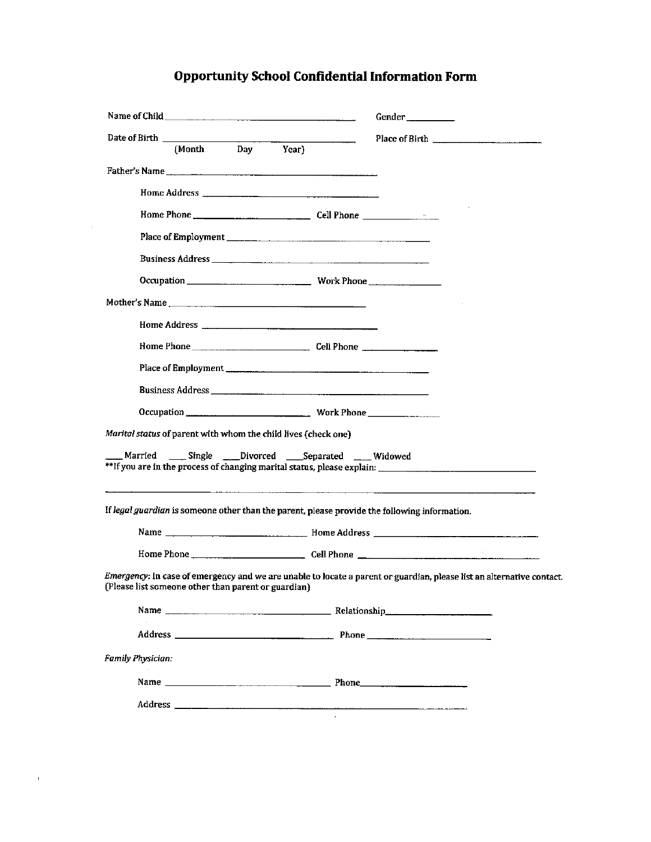## **Opportunity School Confidential Information Form**

|                          |                                                                                                                                  |  | Gender                                                                                                                |
|--------------------------|----------------------------------------------------------------------------------------------------------------------------------|--|-----------------------------------------------------------------------------------------------------------------------|
|                          | Date of Birth (Month Day Year)                                                                                                   |  |                                                                                                                       |
|                          |                                                                                                                                  |  |                                                                                                                       |
|                          |                                                                                                                                  |  |                                                                                                                       |
|                          |                                                                                                                                  |  |                                                                                                                       |
|                          |                                                                                                                                  |  |                                                                                                                       |
|                          |                                                                                                                                  |  |                                                                                                                       |
|                          |                                                                                                                                  |  |                                                                                                                       |
|                          |                                                                                                                                  |  |                                                                                                                       |
|                          | Mother's Name                                                                                                                    |  |                                                                                                                       |
|                          |                                                                                                                                  |  |                                                                                                                       |
|                          |                                                                                                                                  |  |                                                                                                                       |
|                          |                                                                                                                                  |  |                                                                                                                       |
|                          |                                                                                                                                  |  |                                                                                                                       |
|                          |                                                                                                                                  |  |                                                                                                                       |
|                          | Marital status of parent with whom the child lives (check one)<br>Married ____ Single ____ Divorced ____ Separated _____ Widowed |  |                                                                                                                       |
|                          |                                                                                                                                  |  | If legal guardian is someone other than the parent, please provide the following information.                         |
|                          |                                                                                                                                  |  |                                                                                                                       |
|                          |                                                                                                                                  |  |                                                                                                                       |
|                          | (Please list someone other than parent or guardian)                                                                              |  | Emergency: In case of emergency and we are unable to locate a parent or guardian, please list an alternative contact. |
|                          |                                                                                                                                  |  |                                                                                                                       |
|                          |                                                                                                                                  |  |                                                                                                                       |
| <b>Family Physician:</b> |                                                                                                                                  |  |                                                                                                                       |
|                          |                                                                                                                                  |  |                                                                                                                       |
|                          |                                                                                                                                  |  |                                                                                                                       |

 $\mathcal{L}^{\text{max}}_{\text{max}}$  .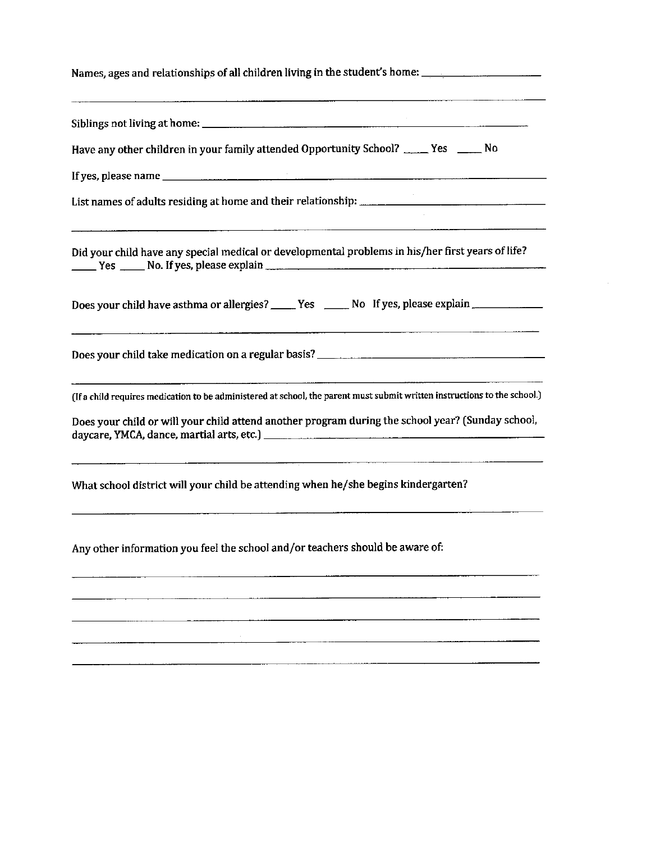| Names, ages and relationships of all children living in the student's home:                                                                                                                                 |  |  |  |  |
|-------------------------------------------------------------------------------------------------------------------------------------------------------------------------------------------------------------|--|--|--|--|
| <u> 1980 - Johann Stein, fransk kommuner (* 1980), francusk kommuner (* 1980), francusk kommuner (* 1900), francu</u>                                                                                       |  |  |  |  |
| Have any other children in your family attended Opportunity School? _____ Yes _____ No                                                                                                                      |  |  |  |  |
|                                                                                                                                                                                                             |  |  |  |  |
|                                                                                                                                                                                                             |  |  |  |  |
| Did your child have any special medical or developmental problems in his/her first years of life?                                                                                                           |  |  |  |  |
| Does your child have asthma or allergies? _____ Yes _____ No If yes, please explain _____________                                                                                                           |  |  |  |  |
|                                                                                                                                                                                                             |  |  |  |  |
| <u> 1980 - Jan James Barnett, martin de filosofoar a strolland (h. 1980).</u><br>(If a child requires medication to be administered at school, the parent must submit written instructions to the school.)  |  |  |  |  |
| Does your child or will your child attend another program during the school year? (Sunday school,                                                                                                           |  |  |  |  |
| <u>amanie – de la composición de la composición de la composición de la composición de la composición de la compo</u><br>What school district will your child be attending when he/she begins kindergarten? |  |  |  |  |
| Any other information you feel the school and/or teachers should be aware of:                                                                                                                               |  |  |  |  |
|                                                                                                                                                                                                             |  |  |  |  |
|                                                                                                                                                                                                             |  |  |  |  |

 $\sim 10^{-1}$